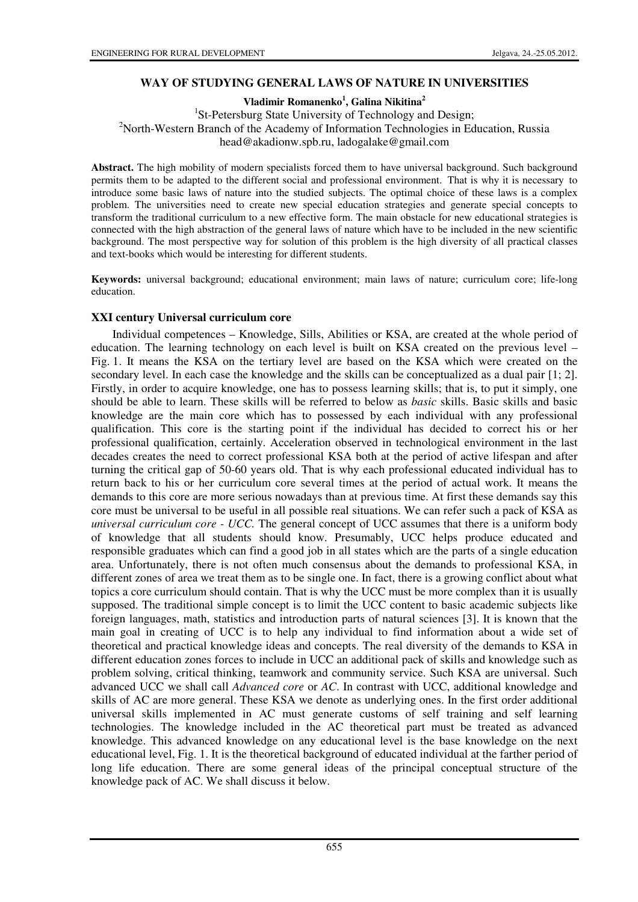### **WAY OF STUDYING GENERAL LAWS OF NATURE IN UNIVERSITIES**

**Vladimir Romanenko<sup>1</sup> , Galina Nikitina<sup>2</sup>**

<sup>1</sup>St-Petersburg State University of Technology and Design; <sup>2</sup>North-Western Branch of the Academy of Information Technologies in Education, Russia head@akadionw.spb.ru, ladogalake@gmail.com

**Abstract.** The high mobility of modern specialists forced them to have universal background. Such background permits them to be adapted to the different social and professional environment. That is why it is necessary to introduce some basic laws of nature into the studied subjects. The optimal choice of these laws is a complex problem. The universities need to create new special education strategies and generate special concepts to transform the traditional curriculum to a new effective form. The main obstacle for new educational strategies is connected with the high abstraction of the general laws of nature which have to be included in the new scientific background. The most perspective way for solution of this problem is the high diversity of all practical classes and text-books which would be interesting for different students.

**Keywords:** universal background; educational environment; main laws of nature; curriculum core; life-long education.

#### **XXI century Universal curriculum core**

Individual competences – Knowledge, Sills, Abilities or KSA, are created at the whole period of education. The learning technology on each level is built on KSA created on the previous level – Fig. 1. It means the KSA on the tertiary level are based on the KSA which were created on the secondary level. In each case the knowledge and the skills can be conceptualized as a dual pair [1; 2]. Firstly, in order to acquire knowledge, one has to possess learning skills; that is, to put it simply, one should be able to learn. These skills will be referred to below as *basic* skills. Basic skills and basic knowledge are the main core which has to possessed by each individual with any professional qualification. This core is the starting point if the individual has decided to correct his or her professional qualification, certainly. Acceleration observed in technological environment in the last decades creates the need to correct professional KSA both at the period of active lifespan and after turning the critical gap of 50-60 years old. That is why each professional educated individual has to return back to his or her curriculum core several times at the period of actual work. It means the demands to this core are more serious nowadays than at previous time. At first these demands say this core must be universal to be useful in all possible real situations. We can refer such a pack of KSA as *universal curriculum core - UCC.* The general concept of UCC assumes that there is a uniform body of knowledge that all students should know. Presumably, UCC helps produce educated and responsible graduates which can find a good job in all states which are the parts of a single education area. Unfortunately, there is not often much consensus about the demands to professional KSA, in different zones of area we treat them as to be single one. In fact, there is a growing conflict about what topics a core curriculum should contain. That is why the UCC must be more complex than it is usually supposed. The traditional simple concept is to limit the UCC content to basic academic subjects like foreign languages, math, statistics and introduction parts of natural sciences [3]. It is known that the main goal in creating of UCC is to help any individual to find information about a wide set of theoretical and practical knowledge ideas and concepts. The real diversity of the demands to KSA in different education zones forces to include in UCC an additional pack of skills and knowledge such as problem solving, critical thinking, teamwork and community service. Such KSA are universal. Such advanced UCC we shall call *Advanced core* or *AC*. In contrast with UCC, additional knowledge and skills of AC are more general. These KSA we denote as underlying ones. In the first order additional universal skills implemented in AC must generate customs of self training and self learning technologies. The knowledge included in the AC theoretical part must be treated as advanced knowledge. This advanced knowledge on any educational level is the base knowledge on the next educational level, Fig. 1. It is the theoretical background of educated individual at the farther period of long life education. There are some general ideas of the principal conceptual structure of the knowledge pack of AC. We shall discuss it below.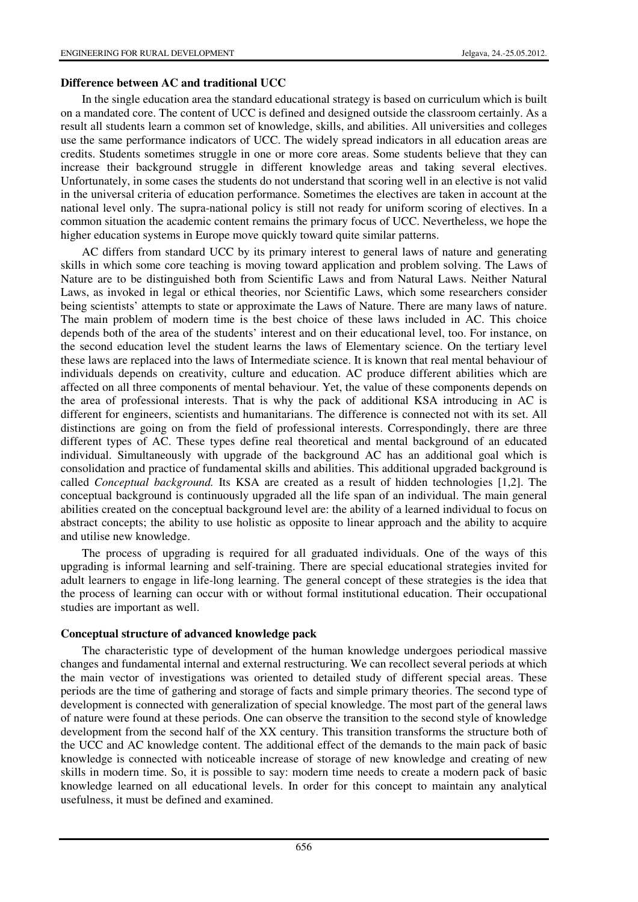#### **Difference between AC and traditional UCC**

In the single education area the standard educational strategy is based on curriculum which is built on a mandated core. The content of UCC is defined and designed outside the classroom certainly. As a result all students learn a common set of knowledge, skills, and abilities. All universities and colleges use the same performance indicators of UCC. The widely spread indicators in all education areas are credits. Students sometimes struggle in one or more core areas. Some students believe that they can increase their background struggle in different knowledge areas and taking several electives. Unfortunately, in some cases the students do not understand that scoring well in an elective is not valid in the universal criteria of education performance. Sometimes the electives are taken in account at the national level only. The supra-national policy is still not ready for uniform scoring of electives. In a common situation the academic content remains the primary focus of UCC. Nevertheless, we hope the higher education systems in Europe move quickly toward quite similar patterns.

AC differs from standard UCC by its primary interest to general laws of nature and generating skills in which some core teaching is moving toward application and problem solving. The Laws of Nature are to be distinguished both from Scientific Laws and from Natural Laws. Neither Natural Laws, as invoked in legal or ethical theories, nor Scientific Laws, which some researchers consider being scientists' attempts to state or approximate the Laws of Nature. There are many laws of nature. The main problem of modern time is the best choice of these laws included in AC. This choice depends both of the area of the students' interest and on their educational level, too. For instance, on the second education level the student learns the laws of Elementary science. On the tertiary level these laws are replaced into the laws of Intermediate science. It is known that real mental behaviour of individuals depends on creativity, culture and education. AC produce different abilities which are affected on all three components of mental behaviour. Yet, the value of these components depends on the area of professional interests. That is why the pack of additional KSA introducing in AC is different for engineers, scientists and humanitarians. The difference is connected not with its set. All distinctions are going on from the field of professional interests. Correspondingly, there are three different types of AC. These types define real theoretical and mental background of an educated individual. Simultaneously with upgrade of the background AC has an additional goal which is consolidation and practice of fundamental skills and abilities. This additional upgraded background is called *Conceptual background.* Its KSA are created as a result of hidden technologies [1,2]. The conceptual background is continuously upgraded all the life span of an individual. The main general abilities created on the conceptual background level are: the ability of a learned individual to focus on abstract concepts; the ability to use holistic as opposite to linear approach and the ability to acquire and utilise new knowledge.

The process of upgrading is required for all graduated individuals. One of the ways of this upgrading is informal learning and self-training. There are special educational strategies invited for adult learners to engage in life-long learning. The general concept of these strategies is the idea that the process of learning can occur with or without formal institutional education. Their occupational studies are important as well.

### **Conceptual structure of advanced knowledge pack**

The characteristic type of development of the human knowledge undergoes periodical massive changes and fundamental internal and external restructuring. We can recollect several periods at which the main vector of investigations was oriented to detailed study of different special areas. These periods are the time of gathering and storage of facts and simple primary theories. The second type of development is connected with generalization of special knowledge. The most part of the general laws of nature were found at these periods. One can observe the transition to the second style of knowledge development from the second half of the XX century. This transition transforms the structure both of the UCC and AC knowledge content. The additional effect of the demands to the main pack of basic knowledge is connected with noticeable increase of storage of new knowledge and creating of new skills in modern time. So, it is possible to say: modern time needs to create a modern pack of basic knowledge learned on all educational levels. In order for this concept to maintain any analytical usefulness, it must be defined and examined.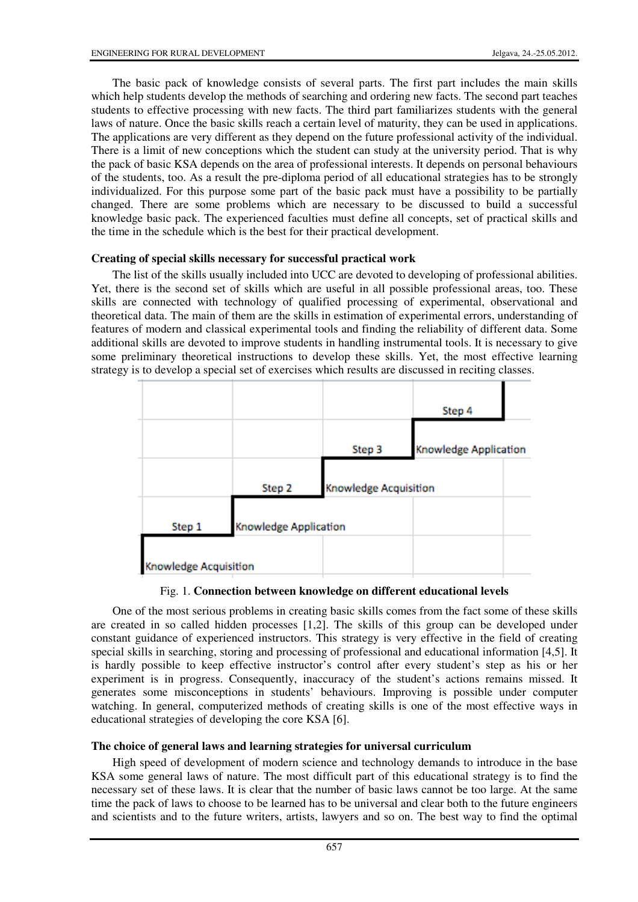The basic pack of knowledge consists of several parts. The first part includes the main skills which help students develop the methods of searching and ordering new facts. The second part teaches students to effective processing with new facts. The third part familiarizes students with the general laws of nature. Once the basic skills reach a certain level of maturity, they can be used in applications. The applications are very different as they depend on the future professional activity of the individual. There is a limit of new conceptions which the student can study at the university period. That is why the pack of basic KSA depends on the area of professional interests. It depends on personal behaviours of the students, too. As a result the pre-diploma period of all educational strategies has to be strongly individualized. For this purpose some part of the basic pack must have a possibility to be partially changed. There are some problems which are necessary to be discussed to build a successful knowledge basic pack. The experienced faculties must define all concepts, set of practical skills and the time in the schedule which is the best for their practical development.

### **Creating of special skills necessary for successful practical work**

The list of the skills usually included into UCC are devoted to developing of professional abilities. Yet, there is the second set of skills which are useful in all possible professional areas, too. These skills are connected with technology of qualified processing of experimental, observational and theoretical data. The main of them are the skills in estimation of experimental errors, understanding of features of modern and classical experimental tools and finding the reliability of different data. Some additional skills are devoted to improve students in handling instrumental tools. It is necessary to give some preliminary theoretical instructions to develop these skills. Yet, the most effective learning strategy is to develop a special set of exercises which results are discussed in reciting classes.



Fig. 1. **Connection between knowledge on different educational levels**

One of the most serious problems in creating basic skills comes from the fact some of these skills are created in so called hidden processes [1,2]. The skills of this group can be developed under constant guidance of experienced instructors. This strategy is very effective in the field of creating special skills in searching, storing and processing of professional and educational information [4,5]. It is hardly possible to keep effective instructor's control after every student's step as his or her experiment is in progress. Consequently, inaccuracy of the student's actions remains missed. It generates some misconceptions in students' behaviours. Improving is possible under computer watching. In general, computerized methods of creating skills is one of the most effective ways in educational strategies of developing the core KSA [6].

### **The choice of general laws and learning strategies for universal curriculum**

High speed of development of modern science and technology demands to introduce in the base KSA some general laws of nature. The most difficult part of this educational strategy is to find the necessary set of these laws. It is clear that the number of basic laws cannot be too large. At the same time the pack of laws to choose to be learned has to be universal and clear both to the future engineers and scientists and to the future writers, artists, lawyers and so on. The best way to find the optimal